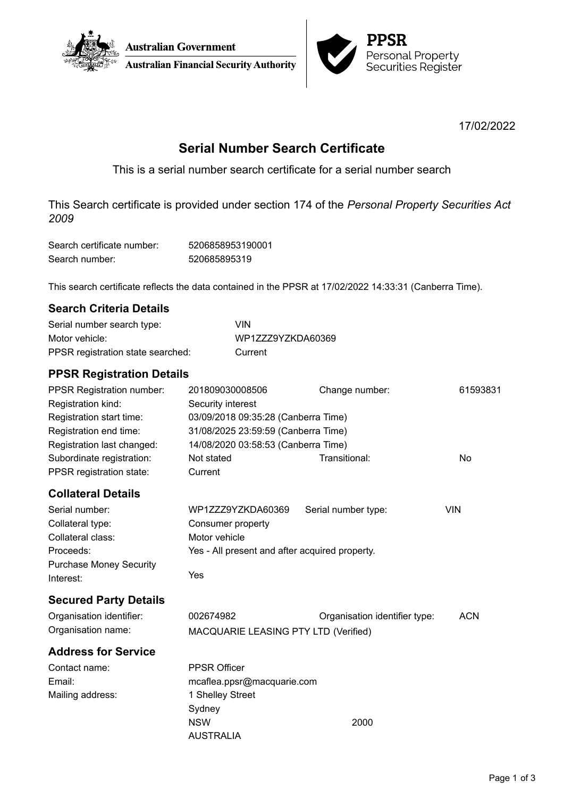



17/02/2022

# **Serial Number Search Certificate**

This is a serial number search certificate for a serial number search

This Search certificate is provided under section 174 of the *Personal Property Securities Act 2009*

| Search certificate number: | 5206858953190001 |
|----------------------------|------------------|
| Search number:             | 520685895319     |

This search certificate reflects the data contained in the PPSR at 17/02/2022 14:33:31 (Canberra Time).

## **Search Criteria Details**

| Serial number search type:        | VIN               |
|-----------------------------------|-------------------|
| Motor vehicle:                    | WP1ZZZ9YZKDA60369 |
| PPSR registration state searched: | Current           |

# **PPSR Registration Details**

| <b>PPSR Registration number:</b><br>Registration kind:<br>Registration start time:                                  | 201809030008506<br>Security interest                                                                              | Change number:                | 61593831   |  |  |
|---------------------------------------------------------------------------------------------------------------------|-------------------------------------------------------------------------------------------------------------------|-------------------------------|------------|--|--|
| Registration end time:<br>Registration last changed:                                                                | 03/09/2018 09:35:28 (Canberra Time)<br>31/08/2025 23:59:59 (Canberra Time)<br>14/08/2020 03:58:53 (Canberra Time) |                               |            |  |  |
| Subordinate registration:<br>PPSR registration state:                                                               | Not stated<br>Current                                                                                             | Transitional:                 | No         |  |  |
| <b>Collateral Details</b>                                                                                           |                                                                                                                   |                               |            |  |  |
| Serial number:<br>Collateral type:<br>Collateral class:<br>Proceeds:<br><b>Purchase Money Security</b><br>Interest: | WP1ZZZ9YZKDA60369<br>Consumer property<br>Motor vehicle<br>Yes - All present and after acquired property.<br>Yes  | Serial number type:           | <b>VIN</b> |  |  |
| <b>Secured Party Details</b>                                                                                        |                                                                                                                   |                               |            |  |  |
| Organisation identifier:<br>Organisation name:                                                                      | 002674982<br>MACQUARIE LEASING PTY LTD (Verified)                                                                 | Organisation identifier type: | <b>ACN</b> |  |  |
| <b>Address for Service</b>                                                                                          |                                                                                                                   |                               |            |  |  |
| Contact name:<br>Email:<br>Mailing address:                                                                         | <b>PPSR Officer</b><br>mcaflea.ppsr@macquarie.com<br>1 Shelley Street<br>Sydney<br><b>NSW</b><br><b>AUSTRALIA</b> | 2000                          |            |  |  |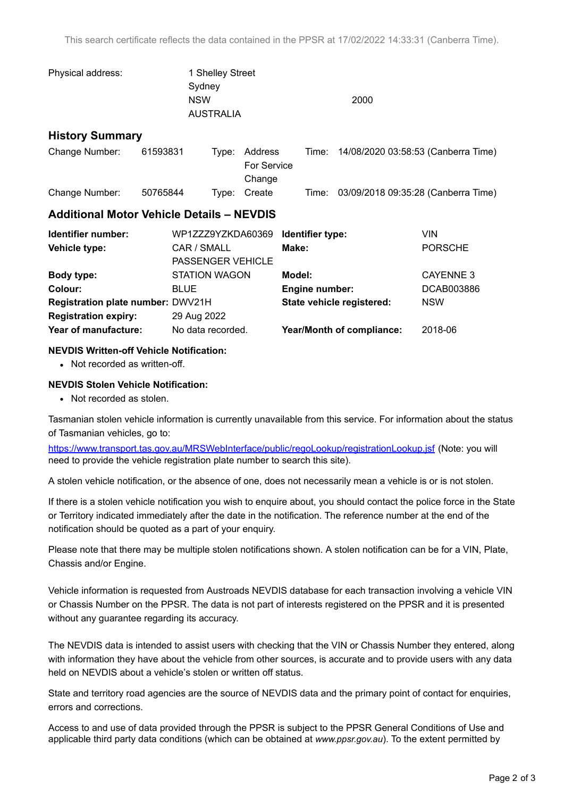| Physical address:                                |             | 1 Shelley Street          |         |                       |            |                           |                                     |
|--------------------------------------------------|-------------|---------------------------|---------|-----------------------|------------|---------------------------|-------------------------------------|
|                                                  |             | Sydney                    |         |                       |            |                           |                                     |
|                                                  |             | <b>NSW</b>                |         |                       |            | 2000                      |                                     |
|                                                  |             | <b>AUSTRALIA</b>          |         |                       |            |                           |                                     |
| <b>History Summary</b>                           |             |                           |         |                       |            |                           |                                     |
| Change Number:                                   | 61593831    | Type:                     | Address |                       | Time:      |                           | 14/08/2020 03:58:53 (Canberra Time) |
|                                                  |             |                           |         | <b>For Service</b>    |            |                           |                                     |
|                                                  |             |                           | Change  |                       |            |                           |                                     |
| Change Number:                                   | 50765844    | Type:                     | Create  |                       | Time:      |                           | 03/09/2018 09:35:28 (Canberra Time) |
| <b>Additional Motor Vehicle Details - NEVDIS</b> |             |                           |         |                       |            |                           |                                     |
| Identifier number:                               |             | WP1ZZZ9YZKDA60369         |         | Identifier type:      |            |                           | <b>VIN</b>                          |
| Vehicle type:                                    |             | CAR / SMALL               |         | Make:                 |            |                           | <b>PORSCHE</b>                      |
|                                                  |             | <b>PASSENGER VEHICLE</b>  |         |                       |            |                           |                                     |
| <b>Body type:</b>                                |             | <b>STATION WAGON</b>      |         | Model:                |            |                           | <b>CAYENNE 3</b>                    |
| Colour:                                          | <b>BLUE</b> |                           |         | <b>Engine number:</b> |            |                           | DCAB003886                          |
| Registration plate number: DWV21H                |             | State vehicle registered: |         |                       | <b>NSW</b> |                           |                                     |
| <b>Registration expiry:</b>                      |             | 29 Aug 2022               |         |                       |            |                           |                                     |
| Year of manufacture:                             |             | No data recorded.         |         |                       |            | Year/Month of compliance: | 2018-06                             |
|                                                  |             |                           |         |                       |            |                           |                                     |

### **NEVDIS Written-off Vehicle Notification:**

• Not recorded as written-off.

#### **NEVDIS Stolen Vehicle Notification:**

• Not recorded as stolen.

Tasmanian stolen vehicle information is currently unavailable from this service. For information about the status of Tasmanian vehicles, go to:

<https://www.transport.tas.gov.au/MRSWebInterface/public/regoLookup/registrationLookup.jsf> (Note: you will need to provide the vehicle registration plate number to search this site).

A stolen vehicle notification, or the absence of one, does not necessarily mean a vehicle is or is not stolen.

If there is a stolen vehicle notification you wish to enquire about, you should contact the police force in the State or Territory indicated immediately after the date in the notification. The reference number at the end of the notification should be quoted as a part of your enquiry.

Please note that there may be multiple stolen notifications shown. A stolen notification can be for a VIN, Plate, Chassis and/or Engine.

Vehicle information is requested from Austroads NEVDIS database for each transaction involving a vehicle VIN or Chassis Number on the PPSR. The data is not part of interests registered on the PPSR and it is presented without any guarantee regarding its accuracy.

The NEVDIS data is intended to assist users with checking that the VIN or Chassis Number they entered, along with information they have about the vehicle from other sources, is accurate and to provide users with any data held on NEVDIS about a vehicle's stolen or written off status.

State and territory road agencies are the source of NEVDIS data and the primary point of contact for enquiries, errors and corrections.

Access to and use of data provided through the PPSR is subject to the PPSR General Conditions of Use and applicable third party data conditions (which can be obtained at *[www.ppsr.gov.au](http://www.ppsr.gov.au)*). To the extent permitted by